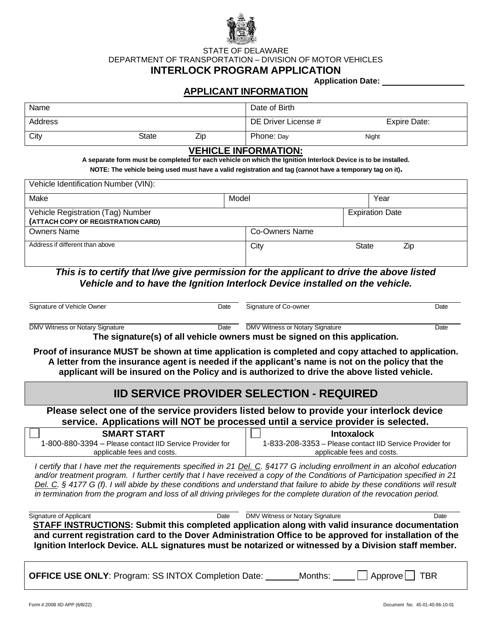

STATE OF DELAWARE DEPARTMENT OF TRANSPORTATION – DIVISION OF MOTOR VEHICLES **INTERLOCK PROGRAM APPLICATION**

**Application Date:**

# **APPLICANT INFORMATION**

| Name    |       |     | Date of Birth       |              |
|---------|-------|-----|---------------------|--------------|
| Address |       |     | DE Driver License # | Expire Date: |
| City    | State | Zip | Phone: Day          | Night        |

### **VEHICLE INFORMATION:**

A separate form must be completed for each vehicle on which the Ignition Interlock Device is to be installed.  **NOTE: The vehicle being used must have a valid registration and tag (cannot have a temporary tag on it).**

| Vehicle Identification Number (VIN):                                    |       |                |                        |      |  |
|-------------------------------------------------------------------------|-------|----------------|------------------------|------|--|
| Make                                                                    | Model |                |                        | Year |  |
| Vehicle Registration (Tag) Number<br>(ATTACH COPY OF REGISTRATION CARD) |       |                | <b>Expiration Date</b> |      |  |
| <b>Owners Name</b>                                                      |       | Co-Owners Name |                        |      |  |
| Address if different than above                                         | City  |                | <b>State</b>           | Zip  |  |

*This is to certify that I/we give permission for the applicant to drive the above listed Vehicle and to have the Ignition Interlock Device installed on the vehicle.*

| Signature of Vehicle Owner           | Date | Signature of Co-owner           | Date |
|--------------------------------------|------|---------------------------------|------|
| DMV Witness or Notary Signature<br>. | Date | DMV Witness or Notary Signature | Date |

**The signature(s) of all vehicle owners must be signed on this application.**

**Proof of insurance MUST be shown at time application is completed and copy attached to application. A letter from the insurance agent is needed if the applicant's name is not on the policy that the applicant will be insured on the Policy and is authorized to drive the above listed vehicle.**

# **IID SERVICE PROVIDER SELECTION - REQUIRED**

**Please select one of the service providers listed below to provide your interlock device service. Applications will NOT be processed until a service provider is selected.**

| <b>SMART START</b>                                       | Intoxalock                                               |
|----------------------------------------------------------|----------------------------------------------------------|
| 1-800-880-3394 - Please contact IID Service Provider for | 1-833-208-3353 – Please contact IID Service Provider for |
| applicable fees and costs.                               | applicable fees and costs.                               |

*I certify that I have met the requirements specified in 21 Del. C. §4177 G including enrollment in an alcohol education and/or treatment program. I further certify that I have received a copy of the Conditions of Participation specified in 21 Del. C. § 4177 G (f). I will abide by these conditions and understand that failure to abide by these conditions will result in termination from the program and loss of all driving privileges for the complete duration of the revocation period.*

Signature of Applicant Date Date Date DATV Witness or Notary Signature Communications Chate **STAFF INSTRUCTIONS: Submit this completed application along with valid insurance documentation and current registration card to the Dover Administration Office to be approved for installation of the Ignition Interlock Device. ALL signatures must be notarized or witnessed by a Division staff member.**

**OFFICE USE ONLY:** Program: SS INTOX Completion Date: Months: Approve TBR